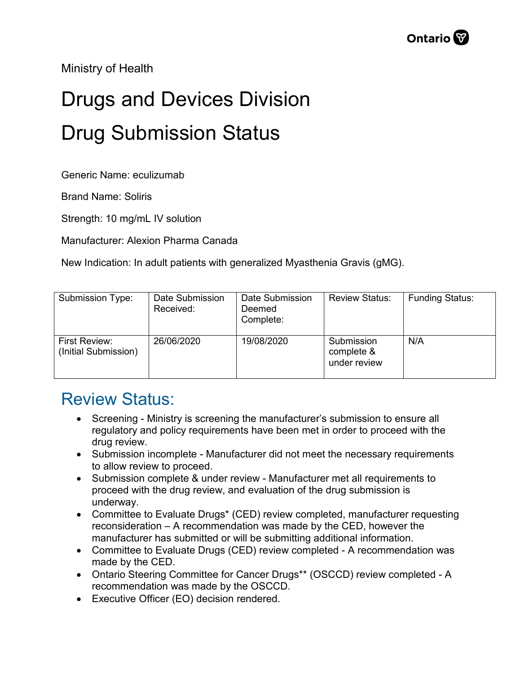Ministry of Health

## Drugs and Devices Division Drug Submission Status

Generic Name: eculizumab

Brand Name: Soliris

Strength: 10 mg/mL IV solution

Manufacturer: Alexion Pharma Canada

New Indication: In adult patients with generalized Myasthenia Gravis (gMG).

| Submission Type:                      | Date Submission<br>Received: | Date Submission<br>Deemed<br>Complete: | <b>Review Status:</b>                    | <b>Funding Status:</b> |
|---------------------------------------|------------------------------|----------------------------------------|------------------------------------------|------------------------|
| First Review:<br>(Initial Submission) | 26/06/2020                   | 19/08/2020                             | Submission<br>complete &<br>under review | N/A                    |

## Review Status:

- Screening Ministry is screening the manufacturer's submission to ensure all regulatory and policy requirements have been met in order to proceed with the drug review.
- Submission incomplete Manufacturer did not meet the necessary requirements to allow review to proceed.
- Submission complete & under review Manufacturer met all requirements to proceed with the drug review, and evaluation of the drug submission is underway.
- Committee to Evaluate Drugs\* (CED) review completed, manufacturer requesting reconsideration – A recommendation was made by the CED, however the manufacturer has submitted or will be submitting additional information.
- Committee to Evaluate Drugs (CED) review completed A recommendation was made by the CED.
- Ontario Steering Committee for Cancer Drugs\*\* (OSCCD) review completed A recommendation was made by the OSCCD.
- Executive Officer (EO) decision rendered.